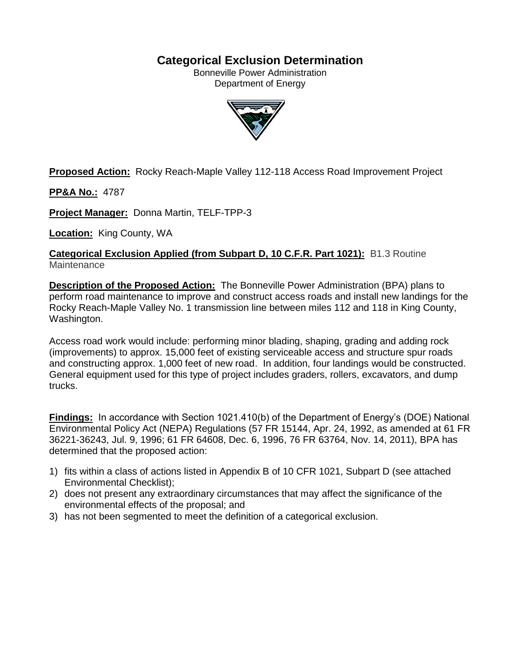# **Categorical Exclusion Determination**

Bonneville Power Administration Department of Energy



**Proposed Action:** Rocky Reach-Maple Valley 112-118 Access Road Improvement Project

**PP&A No.:** 4787

**Project Manager:** Donna Martin, TELF-TPP-3

**Location:** King County, WA

**Categorical Exclusion Applied (from Subpart D, 10 C.F.R. Part 1021):** B1.3 Routine **Maintenance** 

**Description of the Proposed Action:** The Bonneville Power Administration (BPA) plans to perform road maintenance to improve and construct access roads and install new landings for the Rocky Reach-Maple Valley No. 1 transmission line between miles 112 and 118 in King County, Washington.

Access road work would include: performing minor blading, shaping, grading and adding rock (improvements) to approx. 15,000 feet of existing serviceable access and structure spur roads and constructing approx. 1,000 feet of new road. In addition, four landings would be constructed. General equipment used for this type of project includes graders, rollers, excavators, and dump trucks.

**Findings:** In accordance with Section 1021.410(b) of the Department of Energy's (DOE) National Environmental Policy Act (NEPA) Regulations (57 FR 15144, Apr. 24, 1992, as amended at 61 FR 36221-36243, Jul. 9, 1996; 61 FR 64608, Dec. 6, 1996, 76 FR 63764, Nov. 14, 2011), BPA has determined that the proposed action:

- 1) fits within a class of actions listed in Appendix B of 10 CFR 1021, Subpart D (see attached Environmental Checklist);
- 2) does not present any extraordinary circumstances that may affect the significance of the environmental effects of the proposal; and
- 3) has not been segmented to meet the definition of a categorical exclusion.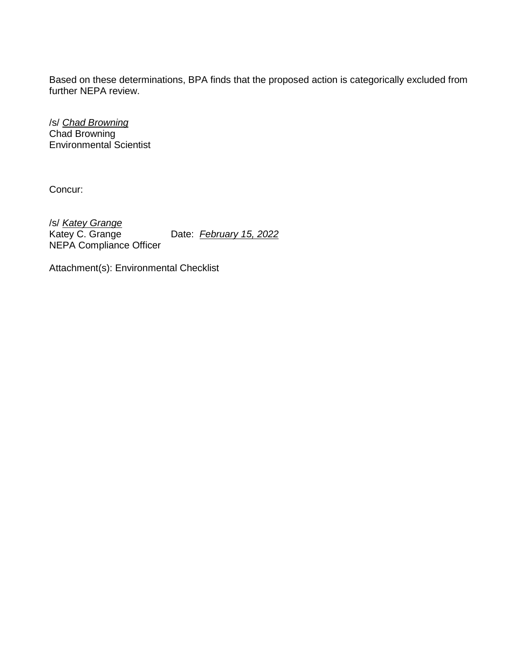Based on these determinations, BPA finds that the proposed action is categorically excluded from further NEPA review.

/s/ *Chad Browning* Chad Browning Environmental Scientist

Concur:

/s/ *Katey Grange* Date: *February 15, 2022* NEPA Compliance Officer

Attachment(s): Environmental Checklist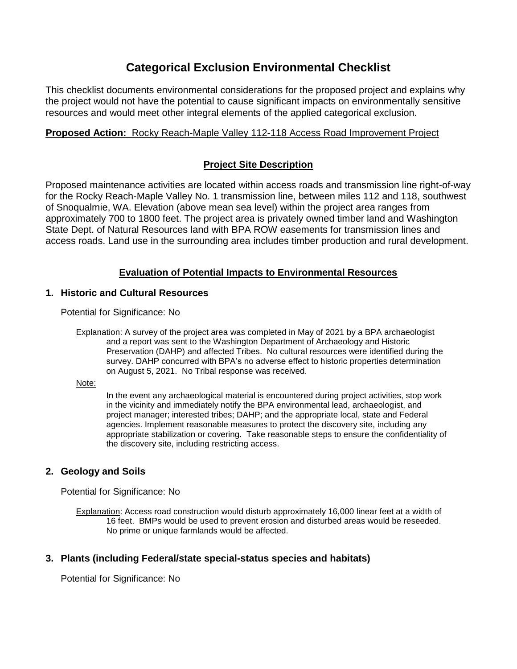# **Categorical Exclusion Environmental Checklist**

This checklist documents environmental considerations for the proposed project and explains why the project would not have the potential to cause significant impacts on environmentally sensitive resources and would meet other integral elements of the applied categorical exclusion.

## **Proposed Action:** Rocky Reach-Maple Valley 112-118 Access Road Improvement Project

## **Project Site Description**

Proposed maintenance activities are located within access roads and transmission line right-of-way for the Rocky Reach-Maple Valley No. 1 transmission line, between miles 112 and 118, southwest of Snoqualmie, WA. Elevation (above mean sea level) within the project area ranges from approximately 700 to 1800 feet. The project area is privately owned timber land and Washington State Dept. of Natural Resources land with BPA ROW easements for transmission lines and access roads. Land use in the surrounding area includes timber production and rural development.

# **Evaluation of Potential Impacts to Environmental Resources**

## **1. Historic and Cultural Resources**

Potential for Significance: No

Explanation: A survey of the project area was completed in May of 2021 by a BPA archaeologist and a report was sent to the Washington Department of Archaeology and Historic Preservation (DAHP) and affected Tribes. No cultural resources were identified during the survey. DAHP concurred with BPA's no adverse effect to historic properties determination on August 5, 2021. No Tribal response was received.

Note:

In the event any archaeological material is encountered during project activities, stop work in the vicinity and immediately notify the BPA environmental lead, archaeologist, and project manager; interested tribes; DAHP; and the appropriate local, state and Federal agencies. Implement reasonable measures to protect the discovery site, including any appropriate stabilization or covering. Take reasonable steps to ensure the confidentiality of the discovery site, including restricting access.

# **2. Geology and Soils**

Potential for Significance: No

Explanation: Access road construction would disturb approximately 16,000 linear feet at a width of 16 feet. BMPs would be used to prevent erosion and disturbed areas would be reseeded. No prime or unique farmlands would be affected.

## **3. Plants (including Federal/state special-status species and habitats)**

Potential for Significance: No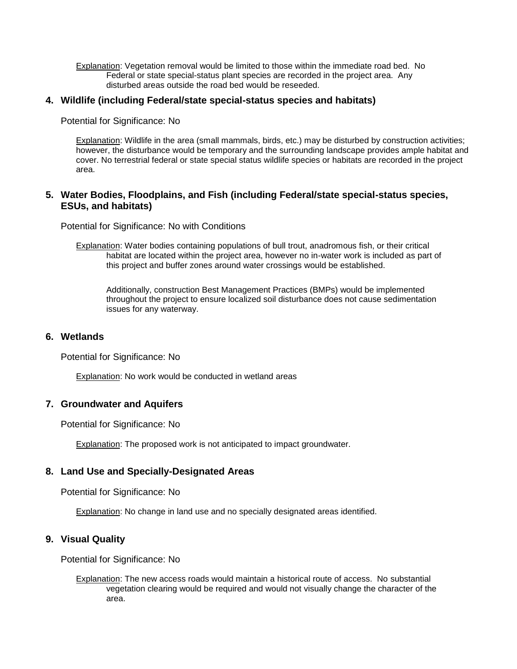Explanation: Vegetation removal would be limited to those within the immediate road bed. No Federal or state special-status plant species are recorded in the project area. Any disturbed areas outside the road bed would be reseeded.

#### **4. Wildlife (including Federal/state special-status species and habitats)**

Potential for Significance: No

Explanation: Wildlife in the area (small mammals, birds, etc.) may be disturbed by construction activities; however, the disturbance would be temporary and the surrounding landscape provides ample habitat and cover. No terrestrial federal or state special status wildlife species or habitats are recorded in the project area.

### **5. Water Bodies, Floodplains, and Fish (including Federal/state special-status species, ESUs, and habitats)**

Potential for Significance: No with Conditions

Explanation: Water bodies containing populations of bull trout, anadromous fish, or their critical habitat are located within the project area, however no in-water work is included as part of this project and buffer zones around water crossings would be established.

Additionally, construction Best Management Practices (BMPs) would be implemented throughout the project to ensure localized soil disturbance does not cause sedimentation issues for any waterway.

#### **6. Wetlands**

Potential for Significance: No

Explanation: No work would be conducted in wetland areas

#### **7. Groundwater and Aquifers**

Potential for Significance: No

Explanation: The proposed work is not anticipated to impact groundwater.

## **8. Land Use and Specially-Designated Areas**

Potential for Significance: No

**Explanation:** No change in land use and no specially designated areas identified.

## **9. Visual Quality**

Potential for Significance: No

Explanation: The new access roads would maintain a historical route of access. No substantial vegetation clearing would be required and would not visually change the character of the area.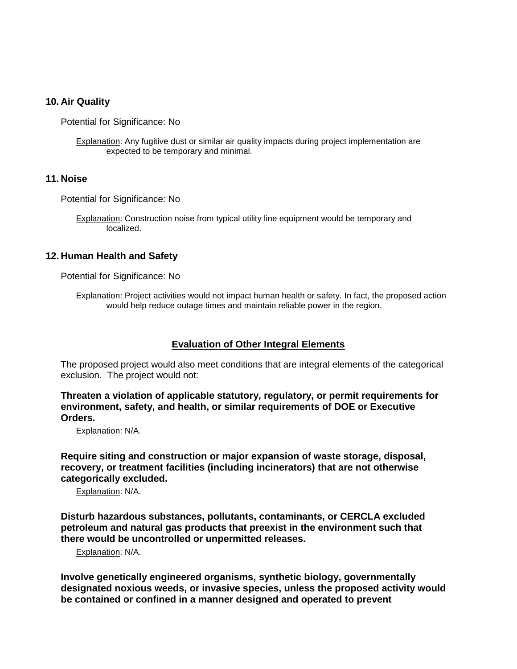#### **10. Air Quality**

Potential for Significance: No

Explanation: Any fugitive dust or similar air quality impacts during project implementation are expected to be temporary and minimal.

#### **11. Noise**

Potential for Significance: No

**Explanation:** Construction noise from typical utility line equipment would be temporary and localized.

#### **12. Human Health and Safety**

Potential for Significance: No

Explanation: Project activities would not impact human health or safety. In fact, the proposed action would help reduce outage times and maintain reliable power in the region.

#### **Evaluation of Other Integral Elements**

The proposed project would also meet conditions that are integral elements of the categorical exclusion. The project would not:

**Threaten a violation of applicable statutory, regulatory, or permit requirements for environment, safety, and health, or similar requirements of DOE or Executive Orders.**

Explanation: N/A.

**Require siting and construction or major expansion of waste storage, disposal, recovery, or treatment facilities (including incinerators) that are not otherwise categorically excluded.**

Explanation: N/A.

**Disturb hazardous substances, pollutants, contaminants, or CERCLA excluded petroleum and natural gas products that preexist in the environment such that there would be uncontrolled or unpermitted releases.**

Explanation: N/A.

**Involve genetically engineered organisms, synthetic biology, governmentally designated noxious weeds, or invasive species, unless the proposed activity would be contained or confined in a manner designed and operated to prevent**